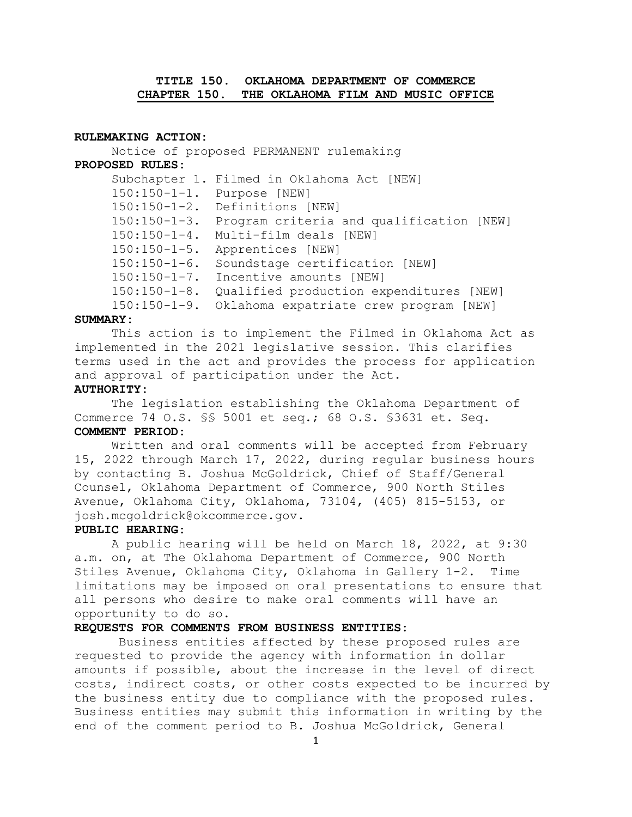# **TITLE 150. OKLAHOMA DEPARTMENT OF COMMERCE CHAPTER 150. THE OKLAHOMA FILM AND MUSIC OFFICE**

### **RULEMAKING ACTION:**

 150:150-1-3. Program criteria and qualification [NEW] 150:150-1-4. Multi-film deals [NEW] 150:150-1-5. Apprentices [NEW] 150:150-1-6. Soundstage certification [NEW] 150:150-1-7. Incentive amounts [NEW] 150:150-1-9. Oklahoma expatriate crew program [NEW] Notice of proposed PERMANENT rulemaking **PROPOSED RULES:**  Subchapter 1. Filmed in Oklahoma Act [NEW] 150:150-1-1. Purpose [NEW] 150:150-1-2. Definitions [NEW] 150:150-1-8. Qualified production expenditures [NEW]

#### **SUMMARY:**

This action is to implement the Filmed in Oklahoma Act as implemented in the 2021 legislative session. This clarifies terms used in the act and provides the process for application and approval of participation under the Act.

# **AUTHORITY:**

The legislation establishing the Oklahoma Department of Commerce 74 O.S. §§ 5001 et seq.; 68 O.S. §3631 et. Seq. **COMMENT PERIOD:** 

 15, 2022 through March 17, 2022, during regular business hours Written and oral comments will be accepted from February by contacting B. Joshua McGoldrick, Chief of Staff/General Counsel, Oklahoma Department of Commerce, 900 North Stiles Avenue, Oklahoma City, Oklahoma, 73104, (405) 815-5153, or [josh.mcgoldrick@okcommerce.gov](mailto:josh.mcgoldrick@okcommerce.gov).

## **PUBLIC HEARING:**

A public hearing will be held on March 18, 2022, at 9:30 a.m. on, at The Oklahoma Department of Commerce, 900 North Stiles Avenue, Oklahoma City, Oklahoma in Gallery 1-2. Time limitations may be imposed on oral presentations to ensure that all persons who desire to make oral comments will have an opportunity to do so.

### **REQUESTS FOR COMMENTS FROM BUSINESS ENTITIES:**

Business entities affected by these proposed rules are requested to provide the agency with information in dollar amounts if possible, about the increase in the level of direct costs, indirect costs, or other costs expected to be incurred by the business entity due to compliance with the proposed rules. Business entities may submit this information in writing by the end of the comment period to B. Joshua McGoldrick, General